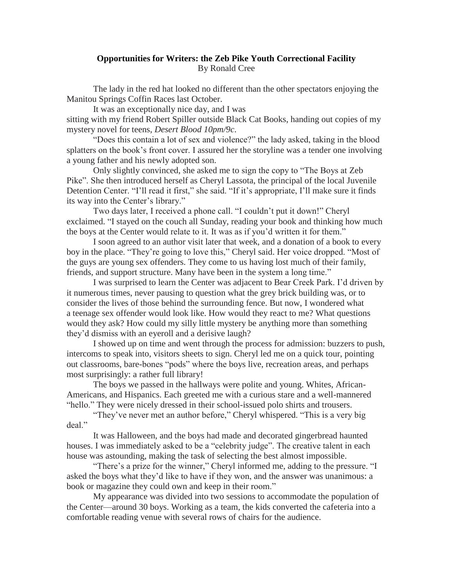## **Opportunities for Writers: the Zeb Pike Youth Correctional Facility** By Ronald Cree

The lady in the red hat looked no different than the other spectators enjoying the Manitou Springs Coffin Races last October.

It was an exceptionally nice day, and I was sitting with my friend Robert Spiller outside Black Cat Books, handing out copies of my mystery novel for teens, *Desert Blood 10pm/9c*.

"Does this contain a lot of sex and violence?" the lady asked, taking in the blood splatters on the book's front cover. I assured her the storyline was a tender one involving a young father and his newly adopted son.

Only slightly convinced, she asked me to sign the copy to "The Boys at Zeb Pike". She then introduced herself as Cheryl Lassota, the principal of the local Juvenile Detention Center. "I'll read it first," she said. "If it's appropriate, I'll make sure it finds its way into the Center's library."

Two days later, I received a phone call. "I couldn't put it down!" Cheryl exclaimed. "I stayed on the couch all Sunday, reading your book and thinking how much the boys at the Center would relate to it. It was as if you'd written it for them."

I soon agreed to an author visit later that week, and a donation of a book to every boy in the place. "They're going to love this," Cheryl said. Her voice dropped. "Most of the guys are young sex offenders. They come to us having lost much of their family, friends, and support structure. Many have been in the system a long time."

I was surprised to learn the Center was adjacent to Bear Creek Park. I'd driven by it numerous times, never pausing to question what the grey brick building was, or to consider the lives of those behind the surrounding fence. But now, I wondered what a teenage sex offender would look like. How would they react to me? What questions would they ask? How could my silly little mystery be anything more than something they'd dismiss with an eyeroll and a derisive laugh?

I showed up on time and went through the process for admission: buzzers to push, intercoms to speak into, visitors sheets to sign. Cheryl led me on a quick tour, pointing out classrooms, bare-bones "pods" where the boys live, recreation areas, and perhaps most surprisingly: a rather full library!

The boys we passed in the hallways were polite and young. Whites, African-Americans, and Hispanics. Each greeted me with a curious stare and a well-mannered "hello." They were nicely dressed in their school-issued polo shirts and trousers.

"They've never met an author before," Cheryl whispered. "This is a very big deal"

It was Halloween, and the boys had made and decorated gingerbread haunted houses. I was immediately asked to be a "celebrity judge". The creative talent in each house was astounding, making the task of selecting the best almost impossible.

"There's a prize for the winner," Cheryl informed me, adding to the pressure. "I asked the boys what they'd like to have if they won, and the answer was unanimous: a book or magazine they could own and keep in their room."

My appearance was divided into two sessions to accommodate the population of the Center—around 30 boys. Working as a team, the kids converted the cafeteria into a comfortable reading venue with several rows of chairs for the audience.